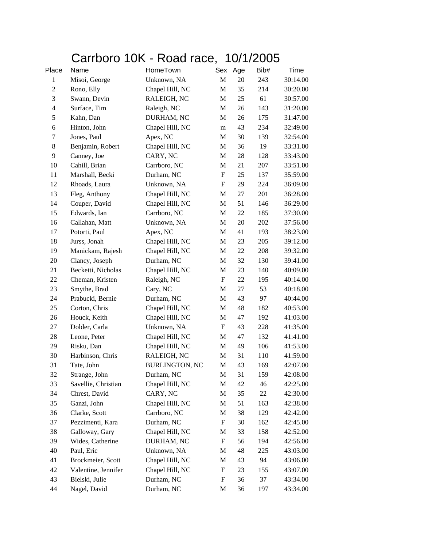## Carrboro 10K - Road race, 10/1/2005

| Place          | Name                | HomeTown              | Sex                       | Age | Bib# | Time     |
|----------------|---------------------|-----------------------|---------------------------|-----|------|----------|
| $\mathbf{1}$   | Misoi, George       | Unknown, NA           | $\mathbf M$               | 20  | 243  | 30:14.00 |
| $\overline{c}$ | Rono, Elly          | Chapel Hill, NC       | M                         | 35  | 214  | 30:20.00 |
| $\mathfrak{Z}$ | Swann, Devin        | RALEIGH, NC           | M                         | 25  | 61   | 30:57.00 |
| 4              | Surface, Tim        | Raleigh, NC           | M                         | 26  | 143  | 31:20.00 |
| $\mathfrak s$  | Kahn, Dan           | DURHAM, NC            | $\mathbf M$               | 26  | 175  | 31:47.00 |
| 6              | Hinton, John        | Chapel Hill, NC       | m                         | 43  | 234  | 32:49.00 |
| 7              | Jones, Paul         | Apex, NC              | M                         | 30  | 139  | 32:54.00 |
| 8              | Benjamin, Robert    | Chapel Hill, NC       | M                         | 36  | 19   | 33:31.00 |
| 9              | Canney, Joe         | CARY, NC              | M                         | 28  | 128  | 33:43.00 |
| 10             | Cahill, Brian       | Carrboro, NC          | M                         | 21  | 207  | 33:51.00 |
| 11             | Marshall, Becki     | Durham, NC            | $\boldsymbol{\mathrm{F}}$ | 25  | 137  | 35:59.00 |
| 12             | Rhoads, Laura       | Unknown, NA           | $\boldsymbol{\mathrm{F}}$ | 29  | 224  | 36:09.00 |
| 13             | Fleg, Anthony       | Chapel Hill, NC       | M                         | 27  | 201  | 36:28.00 |
| 14             | Couper, David       | Chapel Hill, NC       | M                         | 51  | 146  | 36:29.00 |
| 15             | Edwards, Ian        | Carrboro, NC          | M                         | 22  | 185  | 37:30.00 |
| 16             | Callahan, Matt      | Unknown, NA           | M                         | 20  | 202  | 37:56.00 |
| 17             | Potorti, Paul       | Apex, NC              | M                         | 41  | 193  | 38:23.00 |
| 18             | Jurss, Jonah        | Chapel Hill, NC       | M                         | 23  | 205  | 39:12.00 |
| 19             | Manickam, Rajesh    | Chapel Hill, NC       | M                         | 22  | 208  | 39:32.00 |
| 20             | Clancy, Joseph      | Durham, NC            | M                         | 32  | 130  | 39:41.00 |
| 21             | Becketti, Nicholas  | Chapel Hill, NC       | M                         | 23  | 140  | 40:09.00 |
| 22             | Cheman, Kristen     | Raleigh, NC           | $\boldsymbol{\mathrm{F}}$ | 22  | 195  | 40:14.00 |
| 23             | Smythe, Brad        | Cary, NC              | M                         | 27  | 53   | 40:18.00 |
| 24             | Prabucki, Bernie    | Durham, NC            | M                         | 43  | 97   | 40:44.00 |
| 25             | Corton, Chris       | Chapel Hill, NC       | M                         | 48  | 182  | 40:53.00 |
| 26             | Houck, Keith        | Chapel Hill, NC       | M                         | 47  | 192  | 41:03.00 |
| 27             | Dolder, Carla       | Unknown, NA           | F                         | 43  | 228  | 41:35.00 |
| 28             | Leone, Peter        | Chapel Hill, NC       | М                         | 47  | 132  | 41:41.00 |
| 29             | Risku, Dan          | Chapel Hill, NC       | M                         | 49  | 106  | 41:53.00 |
| 30             | Harbinson, Chris    | RALEIGH, NC           | M                         | 31  | 110  | 41:59.00 |
| 31             | Tate, John          | <b>BURLINGTON, NC</b> | M                         | 43  | 169  | 42:07.00 |
| 32             | Strange, John       | Durham, NC            | M                         | 31  | 159  | 42:08.00 |
| 33             | Savellie, Christian | Chapel Hill, NC       | M                         | 42  | 46   | 42:25.00 |
| 34             | Chrest, David       | CARY, NC              | M                         | 35  | 22   | 42:30.00 |
| 35             | Ganzi, John         | Chapel Hill, NC       | M                         | 51  | 163  | 42:38.00 |
| 36             | Clarke, Scott       | Carrboro, NC          | M                         | 38  | 129  | 42:42.00 |
| 37             | Pezzimenti, Kara    | Durham, NC            | F                         | 30  | 162  | 42:45.00 |
| 38             | Galloway, Gary      | Chapel Hill, NC       | M                         | 33  | 158  | 42:52.00 |
| 39             | Wides, Catherine    | DURHAM, NC            | F                         | 56  | 194  | 42:56.00 |
| 40             | Paul, Eric          | Unknown, NA           | M                         | 48  | 225  | 43:03.00 |
| 41             | Brockmeier, Scott   | Chapel Hill, NC       | M                         | 43  | 94   | 43:06.00 |
| 42             | Valentine, Jennifer | Chapel Hill, NC       | F                         | 23  | 155  | 43:07.00 |
| 43             | Bielski, Julie      | Durham, NC            | F                         | 36  | 37   | 43:34.00 |
| 44             | Nagel, David        | Durham, NC            | M                         | 36  | 197  | 43:34.00 |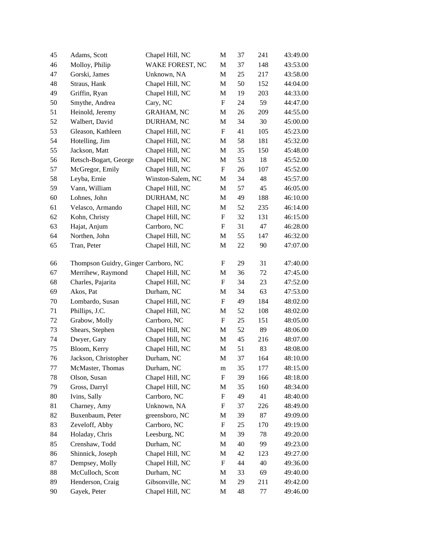| 45 | Adams, Scott                         | Chapel Hill, NC   | M                         | 37 | 241 | 43:49.00 |
|----|--------------------------------------|-------------------|---------------------------|----|-----|----------|
| 46 | Molloy, Philip                       | WAKE FOREST, NC   | M                         | 37 | 148 | 43:53.00 |
| 47 | Gorski, James                        | Unknown, NA       | $\mathbf M$               | 25 | 217 | 43:58.00 |
| 48 | Straus, Hank                         | Chapel Hill, NC   | M                         | 50 | 152 | 44:04.00 |
| 49 | Griffin, Ryan                        | Chapel Hill, NC   | M                         | 19 | 203 | 44:33.00 |
| 50 | Smythe, Andrea                       | Cary, NC          | $\boldsymbol{\mathrm{F}}$ | 24 | 59  | 44:47.00 |
| 51 | Heinold, Jeremy                      | <b>GRAHAM, NC</b> | M                         | 26 | 209 | 44:55.00 |
| 52 | Walbert, David                       | DURHAM, NC        | M                         | 34 | 30  | 45:00.00 |
| 53 | Gleason, Kathleen                    | Chapel Hill, NC   | $\boldsymbol{\mathrm{F}}$ | 41 | 105 | 45:23.00 |
| 54 | Hotelling, Jim                       | Chapel Hill, NC   | M                         | 58 | 181 | 45:32.00 |
| 55 | Jackson, Matt                        | Chapel Hill, NC   | M                         | 35 | 150 | 45:48.00 |
| 56 | Retsch-Bogart, George                | Chapel Hill, NC   | M                         | 53 | 18  | 45:52.00 |
| 57 | McGregor, Emily                      | Chapel Hill, NC   | $\boldsymbol{\mathrm{F}}$ | 26 | 107 | 45:52.00 |
| 58 | Leyba, Ernie                         | Winston-Salem, NC | M                         | 34 | 48  | 45:57.00 |
| 59 | Vann, William                        | Chapel Hill, NC   | M                         | 57 | 45  | 46:05.00 |
| 60 | Lohnes, John                         | DURHAM, NC        | M                         | 49 | 188 | 46:10.00 |
| 61 | Velasco, Armando                     | Chapel Hill, NC   | M                         | 52 | 235 | 46:14.00 |
| 62 | Kohn, Christy                        | Chapel Hill, NC   | F                         | 32 | 131 | 46:15.00 |
| 63 | Hajat, Anjum                         | Carrboro, NC      | $\boldsymbol{\mathrm{F}}$ | 31 | 47  | 46:28.00 |
| 64 | Northen, John                        | Chapel Hill, NC   | $\mathbf M$               | 55 | 147 | 46:32.00 |
| 65 | Tran, Peter                          | Chapel Hill, NC   | M                         | 22 | 90  | 47:07.00 |
| 66 | Thompson Guidry, Ginger Carrboro, NC |                   | F                         | 29 | 31  | 47:40.00 |
| 67 | Merrihew, Raymond                    | Chapel Hill, NC   | M                         | 36 | 72  | 47:45.00 |
| 68 | Charles, Pajarita                    | Chapel Hill, NC   | $\boldsymbol{\mathrm{F}}$ | 34 | 23  | 47:52.00 |
| 69 | Akos, Pat                            | Durham, NC        | M                         | 34 | 63  | 47:53.00 |
| 70 | Lombardo, Susan                      | Chapel Hill, NC   | $\boldsymbol{\mathrm{F}}$ | 49 | 184 | 48:02.00 |
| 71 | Phillips, J.C.                       | Chapel Hill, NC   | M                         | 52 | 108 | 48:02.00 |
| 72 | Grabow, Molly                        | Carrboro, NC      | F                         | 25 | 151 | 48:05.00 |
| 73 | Shears, Stephen                      | Chapel Hill, NC   | M                         | 52 | 89  | 48:06.00 |
| 74 | Dwyer, Gary                          | Chapel Hill, NC   | $\mathbf{M}$              | 45 | 216 | 48:07.00 |
| 75 | Bloom, Kerry                         | Chapel Hill, NC   | $\mathbf{M}$              | 51 | 83  | 48:08.00 |
| 76 | Jackson, Christopher                 | Durham, NC        | M                         | 37 | 164 | 48:10.00 |
| 77 | McMaster, Thomas                     | Durham, NC        | m                         | 35 | 177 | 48:15.00 |
| 78 | Olson, Susan                         | Chapel Hill, NC   | $\boldsymbol{\mathrm{F}}$ | 39 | 166 | 48:18.00 |
| 79 | Gross, Darryl                        | Chapel Hill, NC   | M                         | 35 | 160 | 48:34.00 |
| 80 | Ivins, Sally                         | Carrboro, NC      | $\boldsymbol{\mathrm{F}}$ | 49 | 41  | 48:40.00 |
| 81 | Charney, Amy                         | Unknown, NA       | $\mathbf F$               | 37 | 226 | 48:49.00 |
| 82 | Buxenbaum, Peter                     | greensboro, NC    | M                         | 39 | 87  | 49:09.00 |
| 83 | Zeveloff, Abby                       | Carrboro, NC      | F                         | 25 | 170 | 49:19.00 |
| 84 | Holaday, Chris                       | Leesburg, NC      | M                         | 39 | 78  | 49:20.00 |
| 85 | Crenshaw, Todd                       | Durham, NC        | M                         | 40 | 99  | 49:23.00 |
| 86 | Shinnick, Joseph                     | Chapel Hill, NC   | M                         | 42 | 123 | 49:27.00 |
| 87 | Dempsey, Molly                       | Chapel Hill, NC   | $\boldsymbol{\mathrm{F}}$ | 44 | 40  | 49:36.00 |
| 88 | McCulloch, Scott                     | Durham, NC        | M                         | 33 | 69  | 49:40.00 |
| 89 | Henderson, Craig                     | Gibsonville, NC   | M                         | 29 | 211 | 49:42.00 |
| 90 | Gayek, Peter                         | Chapel Hill, NC   | M                         | 48 | 77  | 49:46.00 |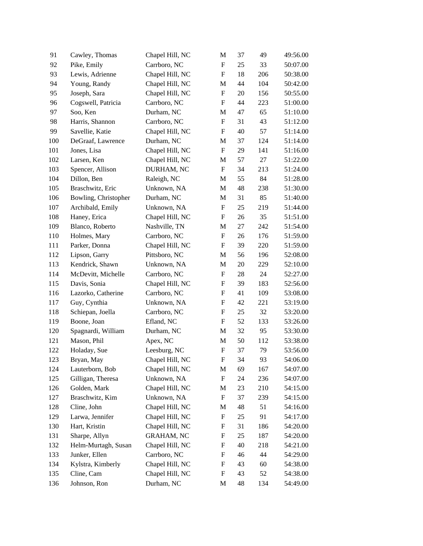| 91  | Cawley, Thomas       | Chapel Hill, NC   | M                         | 37 | 49  | 49:56.00 |
|-----|----------------------|-------------------|---------------------------|----|-----|----------|
| 92  | Pike, Emily          | Carrboro, NC      | $\boldsymbol{\mathrm{F}}$ | 25 | 33  | 50:07.00 |
| 93  | Lewis, Adrienne      | Chapel Hill, NC   | F                         | 18 | 206 | 50:38.00 |
| 94  | Young, Randy         | Chapel Hill, NC   | M                         | 44 | 104 | 50:42.00 |
| 95  | Joseph, Sara         | Chapel Hill, NC   | $\boldsymbol{F}$          | 20 | 156 | 50:55.00 |
| 96  | Cogswell, Patricia   | Carrboro, NC      | $\boldsymbol{F}$          | 44 | 223 | 51:00.00 |
| 97  | Soo, Ken             | Durham, NC        | M                         | 47 | 65  | 51:10.00 |
| 98  | Harris, Shannon      | Carrboro, NC      | $\boldsymbol{F}$          | 31 | 43  | 51:12.00 |
| 99  | Savellie, Katie      | Chapel Hill, NC   | F                         | 40 | 57  | 51:14.00 |
| 100 | DeGraaf, Lawrence    | Durham, NC        | M                         | 37 | 124 | 51:14.00 |
| 101 | Jones, Lisa          | Chapel Hill, NC   | $\boldsymbol{\mathrm{F}}$ | 29 | 141 | 51:16.00 |
| 102 | Larsen, Ken          | Chapel Hill, NC   | M                         | 57 | 27  | 51:22.00 |
| 103 | Spencer, Allison     | DURHAM, NC        | $\boldsymbol{\mathrm{F}}$ | 34 | 213 | 51:24.00 |
| 104 | Dillon, Ben          | Raleigh, NC       | M                         | 55 | 84  | 51:28.00 |
| 105 | Braschwitz, Eric     | Unknown, NA       | M                         | 48 | 238 | 51:30.00 |
| 106 | Bowling, Christopher | Durham, NC        | M                         | 31 | 85  | 51:40.00 |
| 107 | Archibald, Emily     | Unknown, NA       | $\boldsymbol{\mathrm{F}}$ | 25 | 219 | 51:44.00 |
| 108 | Haney, Erica         | Chapel Hill, NC   | $\boldsymbol{F}$          | 26 | 35  | 51:51.00 |
| 109 | Blanco, Roberto      | Nashville, TN     | M                         | 27 | 242 | 51:54.00 |
| 110 | Holmes, Mary         | Carrboro, NC      | $\boldsymbol{\mathrm{F}}$ | 26 | 176 | 51:59.00 |
| 111 | Parker, Donna        | Chapel Hill, NC   | F                         | 39 | 220 | 51:59.00 |
| 112 | Lipson, Garry        | Pittsboro, NC     | M                         | 56 | 196 | 52:08.00 |
| 113 | Kendrick, Shawn      | Unknown, NA       | M                         | 20 | 229 | 52:10.00 |
| 114 | McDevitt, Michelle   | Carrboro, NC      | $\boldsymbol{\mathrm{F}}$ | 28 | 24  | 52:27.00 |
| 115 | Davis, Sonia         | Chapel Hill, NC   | $\boldsymbol{\mathrm{F}}$ | 39 | 183 | 52:56.00 |
| 116 | Lazorko, Catherine   | Carrboro, NC      | $\boldsymbol{F}$          | 41 | 109 | 53:08.00 |
| 117 | Guy, Cynthia         | Unknown, NA       | $\boldsymbol{\mathrm{F}}$ | 42 | 221 | 53:19.00 |
| 118 | Schiepan, Joella     | Carrboro, NC      | $\boldsymbol{F}$          | 25 | 32  | 53:20.00 |
| 119 | Boone, Joan          | Efland, NC        | F                         | 52 | 133 | 53:26.00 |
| 120 | Spagnardi, William   | Durham, NC        | M                         | 32 | 95  | 53:30.00 |
| 121 | Mason, Phil          | Apex, NC          | M                         | 50 | 112 | 53:38.00 |
| 122 | Holaday, Sue         | Leesburg, NC      | $\boldsymbol{\mathrm{F}}$ | 37 | 79  | 53:56.00 |
| 123 | Bryan, May           | Chapel Hill, NC   | F                         | 34 | 93  | 54:06.00 |
| 124 | Lauterborn, Bob      | Chapel Hill, NC   | M                         | 69 | 167 | 54:07.00 |
| 125 | Gilligan, Theresa    | Unknown, NA       | $\boldsymbol{\mathrm{F}}$ | 24 | 236 | 54:07.00 |
| 126 | Golden, Mark         | Chapel Hill, NC   | M                         | 23 | 210 | 54:15.00 |
| 127 | Braschwitz, Kim      | Unknown, NA       | $\boldsymbol{\mathrm{F}}$ | 37 | 239 | 54:15.00 |
| 128 | Cline, John          | Chapel Hill, NC   | M                         | 48 | 51  | 54:16.00 |
| 129 | Larwa, Jennifer      | Chapel Hill, NC   | F                         | 25 | 91  | 54:17.00 |
| 130 | Hart, Kristin        | Chapel Hill, NC   | F                         | 31 | 186 | 54:20.00 |
| 131 | Sharpe, Allyn        | <b>GRAHAM, NC</b> | $\boldsymbol{\mathrm{F}}$ | 25 | 187 | 54:20.00 |
| 132 | Helm-Murtagh, Susan  | Chapel Hill, NC   | F                         | 40 | 218 | 54:21.00 |
| 133 | Junker, Ellen        | Carrboro, NC      | F                         | 46 | 44  | 54:29.00 |
| 134 | Kylstra, Kimberly    | Chapel Hill, NC   | F                         | 43 | 60  | 54:38.00 |
| 135 | Cline, Cam           | Chapel Hill, NC   | F                         | 43 | 52  | 54:38.00 |
| 136 | Johnson, Ron         | Durham, NC        | M                         | 48 | 134 | 54:49.00 |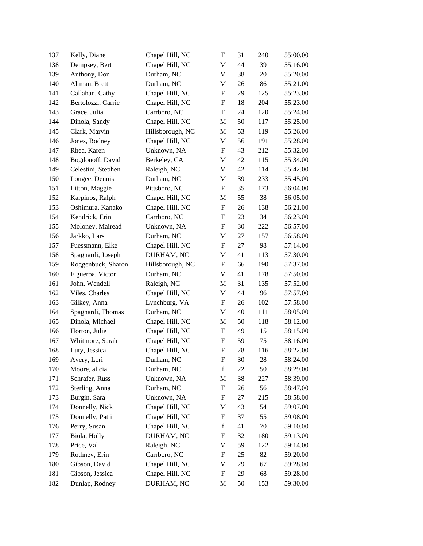| 137 | Kelly, Diane       | Chapel Hill, NC  | $\boldsymbol{\mathrm{F}}$ | 31 | 240    | 55:00.00 |
|-----|--------------------|------------------|---------------------------|----|--------|----------|
| 138 | Dempsey, Bert      | Chapel Hill, NC  | M                         | 44 | 39     | 55:16.00 |
| 139 | Anthony, Don       | Durham, NC       | M                         | 38 | 20     | 55:20.00 |
| 140 | Altman, Brett      | Durham, NC       | M                         | 26 | 86     | 55:21.00 |
| 141 | Callahan, Cathy    | Chapel Hill, NC  | F                         | 29 | 125    | 55:23.00 |
| 142 | Bertolozzi, Carrie | Chapel Hill, NC  | $\mathbf F$               | 18 | 204    | 55:23.00 |
| 143 | Grace, Julia       | Carrboro, NC     | $\boldsymbol{\mathrm{F}}$ | 24 | 120    | 55:24.00 |
| 144 | Dinola, Sandy      | Chapel Hill, NC  | M                         | 50 | 117    | 55:25.00 |
| 145 | Clark, Marvin      | Hillsborough, NC | M                         | 53 | 119    | 55:26.00 |
| 146 | Jones, Rodney      | Chapel Hill, NC  | M                         | 56 | 191    | 55:28.00 |
| 147 | Rhea, Karen        | Unknown, NA      | $\boldsymbol{\mathrm{F}}$ | 43 | 212    | 55:32.00 |
| 148 | Bogdonoff, David   | Berkeley, CA     | M                         | 42 | 115    | 55:34.00 |
| 149 | Celestini, Stephen | Raleigh, NC      | M                         | 42 | 114    | 55:42.00 |
| 150 | Lougee, Dennis     | Durham, NC       | M                         | 39 | 233    | 55:45.00 |
| 151 | Litton, Maggie     | Pittsboro, NC    | F                         | 35 | 173    | 56:04.00 |
| 152 | Karpinos, Ralph    | Chapel Hill, NC  | M                         | 55 | 38     | 56:05.00 |
| 153 | Oshimura, Kanako   | Chapel Hill, NC  | ${\bf F}$                 | 26 | 138    | 56:21.00 |
| 154 | Kendrick, Erin     | Carrboro, NC     | F                         | 23 | 34     | 56:23.00 |
| 155 | Moloney, Mairead   | Unknown, NA      | F                         | 30 | 222    | 56:57.00 |
| 156 | Jarkko, Lars       | Durham, NC       | M                         | 27 | 157    | 56:58.00 |
| 157 | Fuessmann, Elke    | Chapel Hill, NC  | F                         | 27 | 98     | 57:14.00 |
| 158 | Spagnardi, Joseph  | DURHAM, NC       | M                         | 41 | 113    | 57:30.00 |
| 159 | Roggenbuck, Sharon | Hillsborough, NC | $\boldsymbol{F}$          | 66 | 190    | 57:37.00 |
| 160 | Figueroa, Victor   | Durham, NC       | M                         | 41 | 178    | 57:50.00 |
| 161 | John, Wendell      | Raleigh, NC      | M                         | 31 | 135    | 57:52.00 |
| 162 | Viles, Charles     | Chapel Hill, NC  | M                         | 44 | 96     | 57:57.00 |
| 163 | Gilkey, Anna       | Lynchburg, VA    | F                         | 26 | 102    | 57:58.00 |
| 164 | Spagnardi, Thomas  | Durham, NC       | M                         | 40 | 111    | 58:05.00 |
| 165 | Dinola, Michael    | Chapel Hill, NC  | M                         | 50 | 118    | 58:12.00 |
| 166 | Horton, Julie      | Chapel Hill, NC  | $\boldsymbol{\mathrm{F}}$ | 49 | 15     | 58:15.00 |
| 167 | Whitmore, Sarah    | Chapel Hill, NC  | F                         | 59 | 75     | 58:16.00 |
| 168 | Luty, Jessica      | Chapel Hill, NC  | $\mathbf F$               | 28 | 116    | 58:22.00 |
| 169 | Avery, Lori        | Durham, NC       | F                         | 30 | 28     | 58:24.00 |
| 170 | Moore, alicia      | Durham, NC       | $\mathbf f$               | 22 | 50     | 58:29.00 |
| 171 | Schrafer, Russ     | Unknown, NA      | M                         | 38 | 227    | 58:39.00 |
| 172 | Sterling, Anna     | Durham, NC       | F                         | 26 | 56     | 58:47.00 |
| 173 | Burgin, Sara       | Unknown, NA      | F                         | 27 | 215    | 58:58.00 |
| 174 | Donnelly, Nick     | Chapel Hill, NC  | M                         | 43 | 54     | 59:07.00 |
| 175 | Donnelly, Patti    | Chapel Hill, NC  | F                         | 37 | 55     | 59:08.00 |
| 176 | Perry, Susan       | Chapel Hill, NC  | $\mathbf f$               | 41 | $70\,$ | 59:10.00 |
| 177 | Biola, Holly       | DURHAM, NC       | F                         | 32 | 180    | 59:13.00 |
| 178 | Price, Val         | Raleigh, NC      | M                         | 59 | 122    | 59:14.00 |
| 179 | Rothney, Erin      | Carrboro, NC     | $\mathbf F$               | 25 | 82     | 59:20.00 |
| 180 | Gibson, David      | Chapel Hill, NC  | M                         | 29 | 67     | 59:28.00 |
| 181 | Gibson, Jessica    | Chapel Hill, NC  | $\mathbf F$               | 29 | 68     | 59:28.00 |
| 182 | Dunlap, Rodney     | DURHAM, NC       | M                         | 50 | 153    | 59:30.00 |